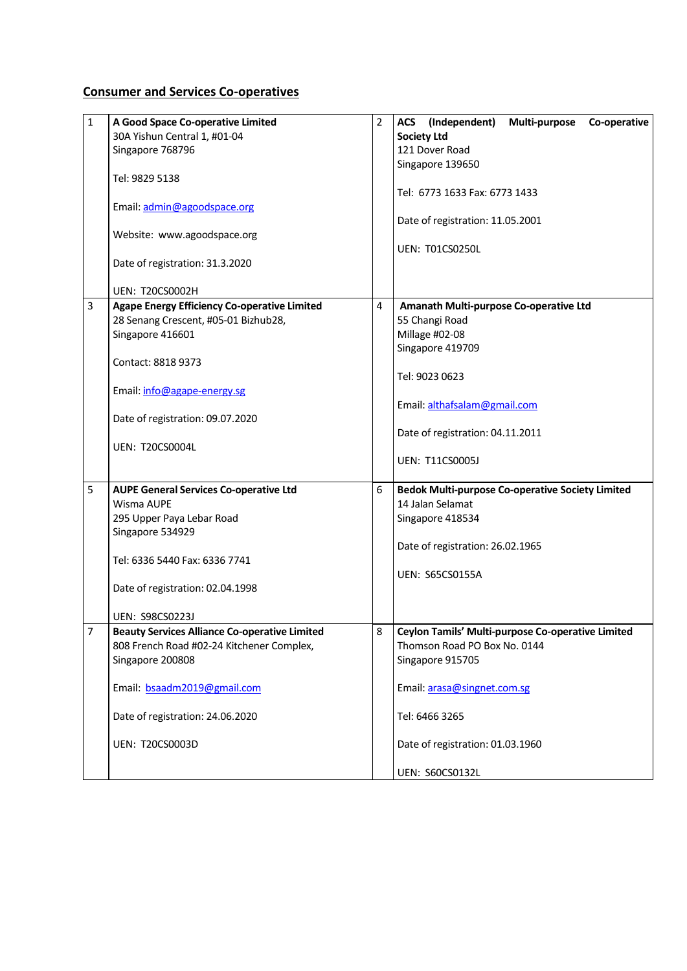## **Consumer and Services Co-operatives**

| $\mathbf{1}$ | A Good Space Co-operative Limited                    | 2 | (Independent)<br>Multi-purpose<br>Co-operative<br><b>ACS</b> |
|--------------|------------------------------------------------------|---|--------------------------------------------------------------|
|              | 30A Yishun Central 1, #01-04                         |   | <b>Society Ltd</b>                                           |
|              | Singapore 768796                                     |   | 121 Dover Road                                               |
|              |                                                      |   | Singapore 139650                                             |
|              | Tel: 9829 5138                                       |   |                                                              |
|              |                                                      |   | Tel: 6773 1633 Fax: 6773 1433                                |
|              | Email: admin@agoodspace.org                          |   |                                                              |
|              |                                                      |   | Date of registration: 11.05.2001                             |
|              | Website: www.agoodspace.org                          |   |                                                              |
|              |                                                      |   | UEN: T01CS0250L                                              |
|              | Date of registration: 31.3.2020                      |   |                                                              |
|              |                                                      |   |                                                              |
|              | <b>UEN: T20CS0002H</b>                               |   |                                                              |
| 3            | <b>Agape Energy Efficiency Co-operative Limited</b>  | 4 | Amanath Multi-purpose Co-operative Ltd                       |
|              | 28 Senang Crescent, #05-01 Bizhub28,                 |   | 55 Changi Road                                               |
|              | Singapore 416601                                     |   | Millage #02-08                                               |
|              |                                                      |   | Singapore 419709                                             |
|              | Contact: 8818 9373                                   |   |                                                              |
|              |                                                      |   | Tel: 9023 0623                                               |
|              | Email: info@agape-energy.sg                          |   |                                                              |
|              |                                                      |   | Email: althafsalam@gmail.com                                 |
|              | Date of registration: 09.07.2020                     |   |                                                              |
|              |                                                      |   | Date of registration: 04.11.2011                             |
|              | <b>UEN: T20CS0004L</b>                               |   |                                                              |
|              |                                                      |   | <b>UEN: T11CS0005J</b>                                       |
| 5            | <b>AUPE General Services Co-operative Ltd</b>        | 6 | <b>Bedok Multi-purpose Co-operative Society Limited</b>      |
|              | Wisma AUPE                                           |   | 14 Jalan Selamat                                             |
|              | 295 Upper Paya Lebar Road                            |   | Singapore 418534                                             |
|              | Singapore 534929                                     |   |                                                              |
|              |                                                      |   | Date of registration: 26.02.1965                             |
|              | Tel: 6336 5440 Fax: 6336 7741                        |   |                                                              |
|              |                                                      |   | <b>UEN: S65CS0155A</b>                                       |
|              | Date of registration: 02.04.1998                     |   |                                                              |
|              |                                                      |   |                                                              |
|              | <b>UEN: S98CS0223J</b>                               |   |                                                              |
| 7            | <b>Beauty Services Alliance Co-operative Limited</b> |   | 8 Ceylon Tamils' Multi-purpose Co-operative Limited          |
|              | 808 French Road #02-24 Kitchener Complex,            |   | Thomson Road PO Box No. 0144                                 |
|              | Singapore 200808                                     |   | Singapore 915705                                             |
|              |                                                      |   |                                                              |
|              | Email: bsaadm2019@gmail.com                          |   | Email: arasa@singnet.com.sg                                  |
|              |                                                      |   |                                                              |
|              | Date of registration: 24.06.2020                     |   | Tel: 6466 3265                                               |
|              |                                                      |   |                                                              |
|              | <b>UEN: T20CS0003D</b>                               |   | Date of registration: 01.03.1960                             |
|              |                                                      |   |                                                              |
|              |                                                      |   | <b>UEN: S60CS0132L</b>                                       |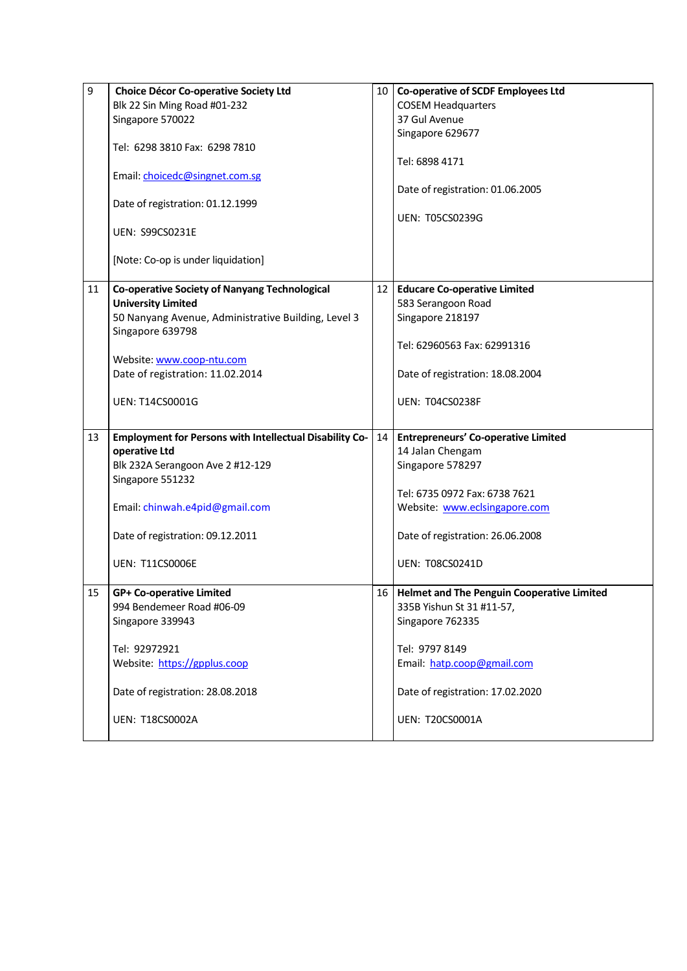| 9  | <b>Choice Décor Co-operative Society Ltd</b>                   | 10 I            | Co-operative of SCDF Employees Ltd                |
|----|----------------------------------------------------------------|-----------------|---------------------------------------------------|
|    | Blk 22 Sin Ming Road #01-232                                   |                 | <b>COSEM Headquarters</b>                         |
|    | Singapore 570022                                               |                 | 37 Gul Avenue                                     |
|    |                                                                |                 | Singapore 629677                                  |
|    | Tel: 6298 3810 Fax: 6298 7810                                  |                 |                                                   |
|    |                                                                |                 | Tel: 6898 4171                                    |
|    | Email: choicedc@singnet.com.sg                                 |                 |                                                   |
|    |                                                                |                 | Date of registration: 01.06.2005                  |
|    | Date of registration: 01.12.1999                               |                 |                                                   |
|    |                                                                |                 | <b>UEN: T05CS0239G</b>                            |
|    | <b>UEN: S99CS0231E</b>                                         |                 |                                                   |
|    |                                                                |                 |                                                   |
|    | [Note: Co-op is under liquidation]                             |                 |                                                   |
|    |                                                                |                 |                                                   |
| 11 | <b>Co-operative Society of Nanyang Technological</b>           | 12 <sub>1</sub> | <b>Educare Co-operative Limited</b>               |
|    | <b>University Limited</b>                                      |                 | 583 Serangoon Road                                |
|    | 50 Nanyang Avenue, Administrative Building, Level 3            |                 | Singapore 218197                                  |
|    | Singapore 639798                                               |                 |                                                   |
|    |                                                                |                 | Tel: 62960563 Fax: 62991316                       |
|    | Website: www.coop-ntu.com                                      |                 |                                                   |
|    | Date of registration: 11.02.2014                               |                 | Date of registration: 18.08.2004                  |
|    |                                                                |                 |                                                   |
|    | <b>UEN: T14CS0001G</b>                                         |                 | UEN: T04CS0238F                                   |
|    |                                                                |                 |                                                   |
| 13 | <b>Employment for Persons with Intellectual Disability Co-</b> | 14              | <b>Entrepreneurs' Co-operative Limited</b>        |
|    | operative Ltd                                                  |                 | 14 Jalan Chengam                                  |
|    | Blk 232A Serangoon Ave 2 #12-129                               |                 | Singapore 578297                                  |
|    | Singapore 551232                                               |                 |                                                   |
|    |                                                                |                 | Tel: 6735 0972 Fax: 6738 7621                     |
|    | Email: chinwah.e4pid@gmail.com                                 |                 | Website: www.eclsingapore.com                     |
|    |                                                                |                 |                                                   |
|    | Date of registration: 09.12.2011                               |                 | Date of registration: 26.06.2008                  |
|    |                                                                |                 |                                                   |
|    | <b>UEN: T11CS0006E</b>                                         |                 | <b>UEN: T08CS0241D</b>                            |
|    |                                                                |                 |                                                   |
| 15 | <b>GP+ Co-operative Limited</b>                                | 16 I            | <b>Helmet and The Penguin Cooperative Limited</b> |
|    | 994 Bendemeer Road #06-09                                      |                 | 335B Yishun St 31 #11-57,                         |
|    | Singapore 339943                                               |                 | Singapore 762335                                  |
|    |                                                                |                 |                                                   |
|    | Tel: 92972921                                                  |                 | Tel: 9797 8149                                    |
|    | Website: https://gpplus.coop                                   |                 | Email: hatp.coop@gmail.com                        |
|    |                                                                |                 |                                                   |
|    | Date of registration: 28.08.2018                               |                 | Date of registration: 17.02.2020                  |
|    |                                                                |                 |                                                   |
|    | <b>UEN: T18CS0002A</b>                                         |                 | <b>UEN: T20CS0001A</b>                            |
|    |                                                                |                 |                                                   |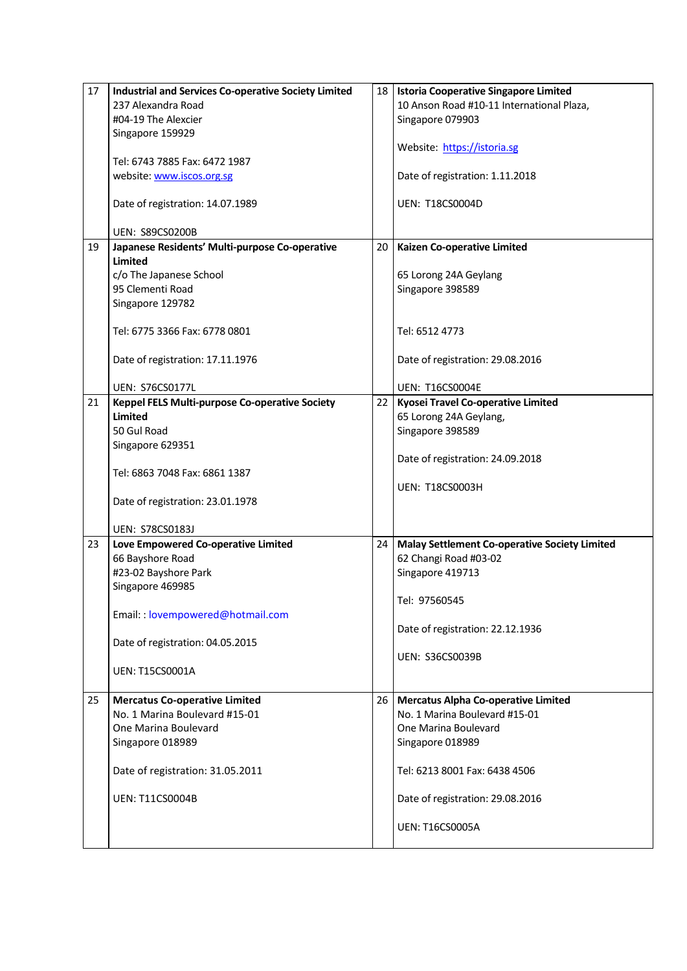| 17 | <b>Industrial and Services Co-operative Society Limited</b> | 18 I            | <b>Istoria Cooperative Singapore Limited</b>         |
|----|-------------------------------------------------------------|-----------------|------------------------------------------------------|
|    | 237 Alexandra Road                                          |                 | 10 Anson Road #10-11 International Plaza,            |
|    | #04-19 The Alexcier                                         |                 | Singapore 079903                                     |
|    | Singapore 159929                                            |                 |                                                      |
|    |                                                             |                 | Website: https://istoria.sg                          |
|    | Tel: 6743 7885 Fax: 6472 1987                               |                 |                                                      |
|    | website: www.iscos.org.sg                                   |                 | Date of registration: 1.11.2018                      |
|    |                                                             |                 |                                                      |
|    | Date of registration: 14.07.1989                            |                 | <b>UEN: T18CS0004D</b>                               |
|    |                                                             |                 |                                                      |
|    | <b>UEN: S89CS0200B</b>                                      |                 |                                                      |
| 19 | Japanese Residents' Multi-purpose Co-operative              | 20              | Kaizen Co-operative Limited                          |
|    | Limited                                                     |                 |                                                      |
|    | c/o The Japanese School                                     |                 | 65 Lorong 24A Geylang                                |
|    | 95 Clementi Road                                            |                 | Singapore 398589                                     |
|    | Singapore 129782                                            |                 |                                                      |
|    |                                                             |                 |                                                      |
|    | Tel: 6775 3366 Fax: 6778 0801                               |                 | Tel: 6512 4773                                       |
|    |                                                             |                 |                                                      |
|    | Date of registration: 17.11.1976                            |                 | Date of registration: 29.08.2016                     |
|    | <b>UEN: S76CS0177L</b>                                      |                 | <b>UEN: T16CS0004E</b>                               |
| 21 | Keppel FELS Multi-purpose Co-operative Society              | 22 <sub>1</sub> | Kyosei Travel Co-operative Limited                   |
|    | <b>Limited</b>                                              |                 | 65 Lorong 24A Geylang,                               |
|    | 50 Gul Road                                                 |                 | Singapore 398589                                     |
|    |                                                             |                 |                                                      |
|    | Singapore 629351                                            |                 | Date of registration: 24.09.2018                     |
|    | Tel: 6863 7048 Fax: 6861 1387                               |                 |                                                      |
|    |                                                             |                 | <b>UEN: T18CS0003H</b>                               |
|    | Date of registration: 23.01.1978                            |                 |                                                      |
|    |                                                             |                 |                                                      |
|    | UEN: S78CS0183J                                             |                 |                                                      |
| 23 | Love Empowered Co-operative Limited                         | 24              | <b>Malay Settlement Co-operative Society Limited</b> |
|    | 66 Bayshore Road                                            |                 | 62 Changi Road #03-02                                |
|    | #23-02 Bayshore Park                                        |                 | Singapore 419713                                     |
|    | Singapore 469985                                            |                 |                                                      |
|    |                                                             |                 | Tel: 97560545                                        |
|    | Email: : lovempowered@hotmail.com                           |                 |                                                      |
|    |                                                             |                 | Date of registration: 22.12.1936                     |
|    | Date of registration: 04.05.2015                            |                 |                                                      |
|    |                                                             |                 | <b>UEN: S36CS0039B</b>                               |
|    | <b>UEN: T15CS0001A</b>                                      |                 |                                                      |
|    |                                                             |                 |                                                      |
| 25 | <b>Mercatus Co-operative Limited</b>                        | 26 I            | <b>Mercatus Alpha Co-operative Limited</b>           |
|    | No. 1 Marina Boulevard #15-01                               |                 | No. 1 Marina Boulevard #15-01                        |
|    | One Marina Boulevard                                        |                 | One Marina Boulevard                                 |
|    | Singapore 018989                                            |                 | Singapore 018989                                     |
|    |                                                             |                 |                                                      |
|    | Date of registration: 31.05.2011                            |                 | Tel: 6213 8001 Fax: 6438 4506                        |
|    |                                                             |                 |                                                      |
|    | <b>UEN: T11CS0004B</b>                                      |                 | Date of registration: 29.08.2016                     |
|    |                                                             |                 |                                                      |
|    |                                                             |                 | <b>UEN: T16CS0005A</b>                               |
|    |                                                             |                 |                                                      |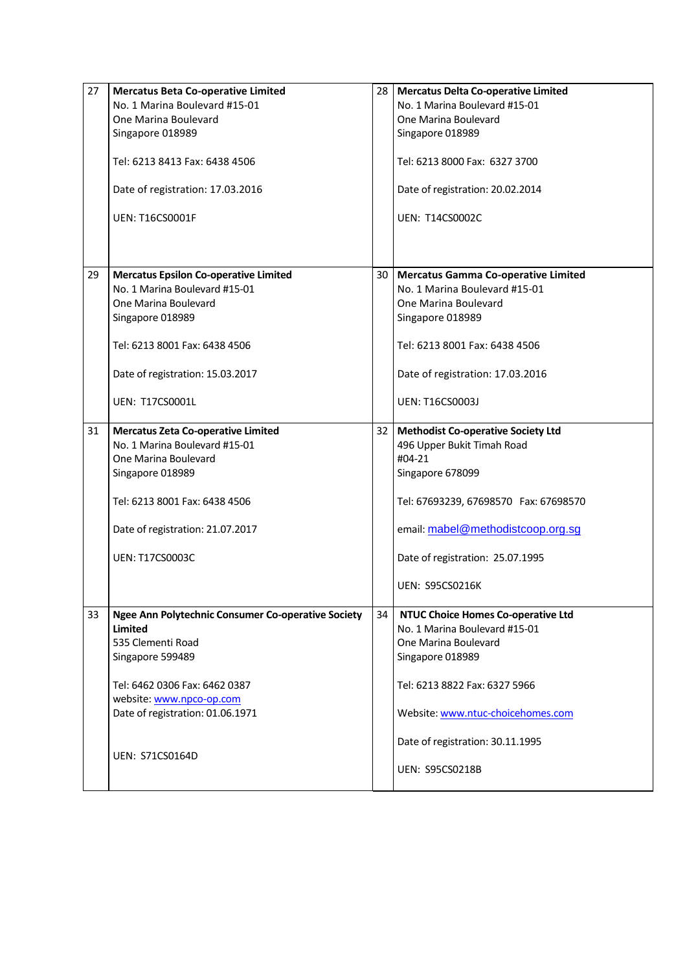| 27 | <b>Mercatus Beta Co-operative Limited</b>          |      | 28   Mercatus Delta Co-operative Limited  |
|----|----------------------------------------------------|------|-------------------------------------------|
|    | No. 1 Marina Boulevard #15-01                      |      | No. 1 Marina Boulevard #15-01             |
|    | One Marina Boulevard                               |      | One Marina Boulevard                      |
|    | Singapore 018989                                   |      | Singapore 018989                          |
|    | Tel: 6213 8413 Fax: 6438 4506                      |      | Tel: 6213 8000 Fax: 6327 3700             |
|    | Date of registration: 17.03.2016                   |      | Date of registration: 20.02.2014          |
|    | <b>UEN: T16CS0001F</b>                             |      | <b>UEN: T14CS0002C</b>                    |
|    |                                                    |      |                                           |
| 29 | <b>Mercatus Epsilon Co-operative Limited</b>       | 30   | Mercatus Gamma Co-operative Limited       |
|    | No. 1 Marina Boulevard #15-01                      |      | No. 1 Marina Boulevard #15-01             |
|    | One Marina Boulevard                               |      | One Marina Boulevard                      |
|    | Singapore 018989                                   |      | Singapore 018989                          |
|    | Tel: 6213 8001 Fax: 6438 4506                      |      | Tel: 6213 8001 Fax: 6438 4506             |
|    | Date of registration: 15.03.2017                   |      | Date of registration: 17.03.2016          |
|    | <b>UEN: T17CS0001L</b>                             |      | UEN: T16CS0003J                           |
| 31 | <b>Mercatus Zeta Co-operative Limited</b>          | 32 I | <b>Methodist Co-operative Society Ltd</b> |
|    | No. 1 Marina Boulevard #15-01                      |      | 496 Upper Bukit Timah Road                |
|    | One Marina Boulevard                               |      | #04-21                                    |
|    | Singapore 018989                                   |      | Singapore 678099                          |
|    |                                                    |      |                                           |
|    | Tel: 6213 8001 Fax: 6438 4506                      |      | Tel: 67693239, 67698570 Fax: 67698570     |
|    | Date of registration: 21.07.2017                   |      | email: mabel@methodistcoop.org.sg         |
|    | <b>UEN: T17CS0003C</b>                             |      | Date of registration: 25.07.1995          |
|    |                                                    |      | <b>UEN: S95CS0216K</b>                    |
| 33 | Ngee Ann Polytechnic Consumer Co-operative Society | 34   | <b>NTUC Choice Homes Co-operative Ltd</b> |
|    | Limited                                            |      | No. 1 Marina Boulevard #15-01             |
|    | 535 Clementi Road                                  |      | One Marina Boulevard                      |
|    | Singapore 599489                                   |      | Singapore 018989                          |
|    | Tel: 6462 0306 Fax: 6462 0387                      |      | Tel: 6213 8822 Fax: 6327 5966             |
|    | website: www.npco-op.com                           |      |                                           |
|    | Date of registration: 01.06.1971                   |      | Website: www.ntuc-choicehomes.com         |
|    |                                                    |      |                                           |
|    |                                                    |      | Date of registration: 30.11.1995          |
|    | UEN: S71CS0164D                                    |      |                                           |
|    |                                                    |      | <b>UEN: S95CS0218B</b>                    |
|    |                                                    |      |                                           |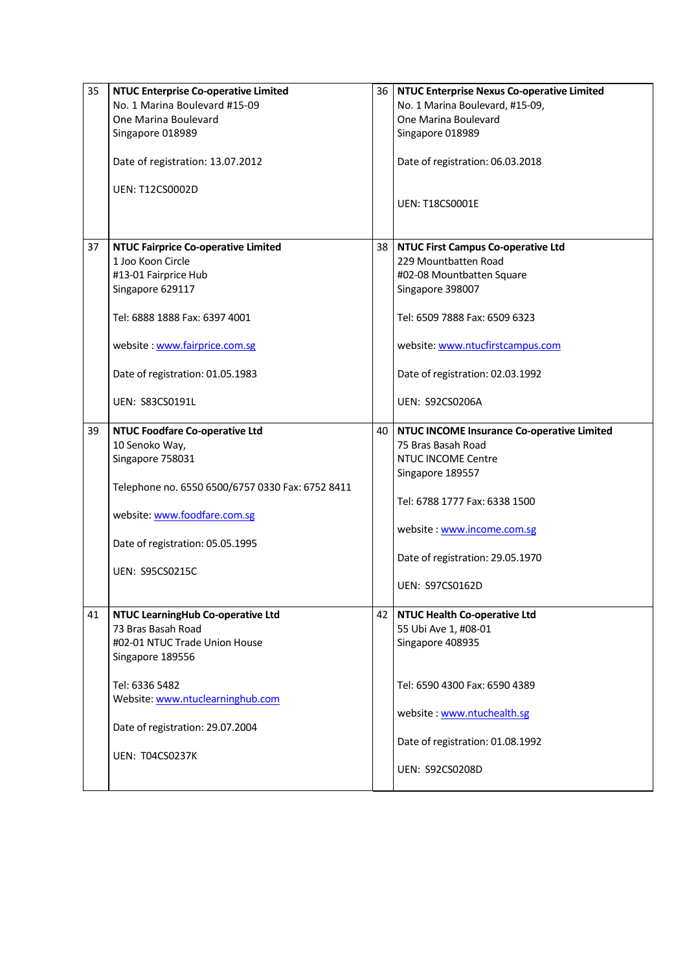| 35 | <b>NTUC Enterprise Co-operative Limited</b>      | 36 I            | <b>NTUC Enterprise Nexus Co-operative Limited</b> |
|----|--------------------------------------------------|-----------------|---------------------------------------------------|
|    | No. 1 Marina Boulevard #15-09                    |                 | No. 1 Marina Boulevard, #15-09,                   |
|    | One Marina Boulevard                             |                 | One Marina Boulevard                              |
|    | Singapore 018989                                 |                 | Singapore 018989                                  |
|    |                                                  |                 |                                                   |
|    | Date of registration: 13.07.2012                 |                 | Date of registration: 06.03.2018                  |
|    | <b>UEN: T12CS0002D</b>                           |                 |                                                   |
|    |                                                  |                 | <b>UEN: T18CS0001E</b>                            |
|    |                                                  |                 |                                                   |
|    |                                                  |                 |                                                   |
| 37 | <b>NTUC Fairprice Co-operative Limited</b>       | 38 <sup>1</sup> | <b>NTUC First Campus Co-operative Ltd</b>         |
|    | 1 Joo Koon Circle                                |                 | 229 Mountbatten Road                              |
|    | #13-01 Fairprice Hub                             |                 | #02-08 Mountbatten Square                         |
|    | Singapore 629117                                 |                 | Singapore 398007                                  |
|    |                                                  |                 |                                                   |
|    | Tel: 6888 1888 Fax: 6397 4001                    |                 | Tel: 6509 7888 Fax: 6509 6323                     |
|    |                                                  |                 |                                                   |
|    | website: www.fairprice.com.sg                    |                 | website: www.ntucfirstcampus.com                  |
|    | Date of registration: 01.05.1983                 |                 | Date of registration: 02.03.1992                  |
|    |                                                  |                 |                                                   |
|    | <b>UEN: S83CS0191L</b>                           |                 | <b>UEN: S92CS0206A</b>                            |
|    |                                                  |                 |                                                   |
| 39 | <b>NTUC Foodfare Co-operative Ltd</b>            | 40              | NTUC INCOME Insurance Co-operative Limited        |
|    | 10 Senoko Way,                                   |                 | 75 Bras Basah Road                                |
|    | Singapore 758031                                 |                 | <b>NTUC INCOME Centre</b>                         |
|    |                                                  |                 | Singapore 189557                                  |
|    | Telephone no. 6550 6500/6757 0330 Fax: 6752 8411 |                 |                                                   |
|    |                                                  |                 | Tel: 6788 1777 Fax: 6338 1500                     |
|    | website: www.foodfare.com.sg                     |                 |                                                   |
|    |                                                  |                 | website: www.income.com.sg                        |
|    | Date of registration: 05.05.1995                 |                 |                                                   |
|    |                                                  |                 | Date of registration: 29.05.1970                  |
|    | <b>UEN: S95CS0215C</b>                           |                 |                                                   |
|    |                                                  |                 | <b>UEN: S97CS0162D</b>                            |
|    |                                                  |                 |                                                   |
| 41 | NTUC LearningHub Co-operative Ltd                | 42 I            | <b>NTUC Health Co-operative Ltd</b>               |
|    | 73 Bras Basah Road                               |                 | 55 Ubi Ave 1, #08-01                              |
|    | #02-01 NTUC Trade Union House                    |                 | Singapore 408935                                  |
|    |                                                  |                 |                                                   |
|    | Singapore 189556                                 |                 |                                                   |
|    | Tel: 6336 5482                                   |                 | Tel: 6590 4300 Fax: 6590 4389                     |
|    | Website: www.ntuclearninghub.com                 |                 |                                                   |
|    |                                                  |                 | website: www.ntuchealth.sg                        |
|    | Date of registration: 29.07.2004                 |                 |                                                   |
|    |                                                  |                 | Date of registration: 01.08.1992                  |
|    | <b>UEN: T04CS0237K</b>                           |                 |                                                   |
|    |                                                  |                 | <b>UEN: S92CS0208D</b>                            |
|    |                                                  |                 |                                                   |
|    |                                                  |                 |                                                   |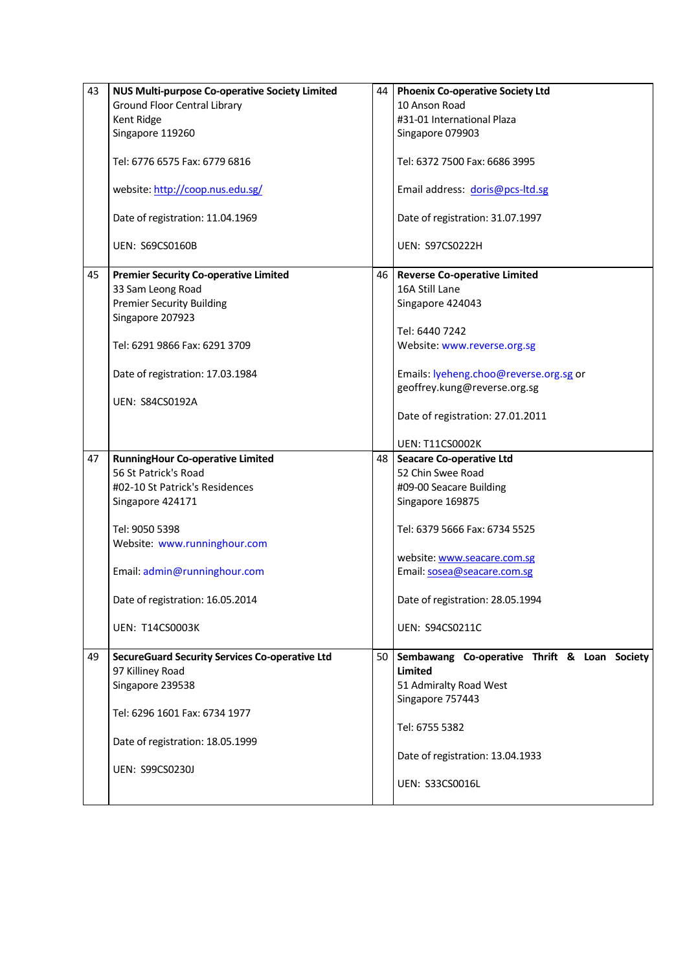| 43 | NUS Multi-purpose Co-operative Society Limited        | 44 I | <b>Phoenix Co-operative Society Ltd</b>      |
|----|-------------------------------------------------------|------|----------------------------------------------|
|    | <b>Ground Floor Central Library</b>                   |      | 10 Anson Road                                |
|    | Kent Ridge                                            |      | #31-01 International Plaza                   |
|    | Singapore 119260                                      |      | Singapore 079903                             |
|    |                                                       |      |                                              |
|    | Tel: 6776 6575 Fax: 6779 6816                         |      | Tel: 6372 7500 Fax: 6686 3995                |
|    |                                                       |      |                                              |
|    | website: http://coop.nus.edu.sg/                      |      | Email address: doris@pcs-ltd.sg              |
|    |                                                       |      |                                              |
|    | Date of registration: 11.04.1969                      |      | Date of registration: 31.07.1997             |
|    |                                                       |      |                                              |
|    | <b>UEN: S69CS0160B</b>                                |      | <b>UEN: S97CS0222H</b>                       |
|    |                                                       |      |                                              |
| 45 | <b>Premier Security Co-operative Limited</b>          | 46 I | <b>Reverse Co-operative Limited</b>          |
|    | 33 Sam Leong Road                                     |      | 16A Still Lane                               |
|    | <b>Premier Security Building</b>                      |      | Singapore 424043                             |
|    | Singapore 207923                                      |      |                                              |
|    |                                                       |      | Tel: 6440 7242                               |
|    | Tel: 6291 9866 Fax: 6291 3709                         |      | Website: www.reverse.org.sg                  |
|    |                                                       |      |                                              |
|    | Date of registration: 17.03.1984                      |      | Emails: lyeheng.choo@reverse.org.sg or       |
|    |                                                       |      | geoffrey.kung@reverse.org.sg                 |
|    | <b>UEN: S84CS0192A</b>                                |      |                                              |
|    |                                                       |      | Date of registration: 27.01.2011             |
|    |                                                       |      |                                              |
|    |                                                       |      | <b>UEN: T11CS0002K</b>                       |
| 47 | <b>RunningHour Co-operative Limited</b>               | 48   | <b>Seacare Co-operative Ltd</b>              |
|    | 56 St Patrick's Road                                  |      | 52 Chin Swee Road                            |
|    | #02-10 St Patrick's Residences                        |      | #09-00 Seacare Building                      |
|    | Singapore 424171                                      |      | Singapore 169875                             |
|    |                                                       |      |                                              |
|    | Tel: 9050 5398                                        |      | Tel: 6379 5666 Fax: 6734 5525                |
|    | Website: www.runninghour.com                          |      |                                              |
|    |                                                       |      | website: www.seacare.com.sg                  |
|    | Email: admin@runninghour.com                          |      | Email: sosea@seacare.com.sg                  |
|    |                                                       |      |                                              |
|    | Date of registration: 16.05.2014                      |      | Date of registration: 28.05.1994             |
|    |                                                       |      |                                              |
|    | <b>UEN: T14CS0003K</b>                                |      | <b>UEN: S94CS0211C</b>                       |
|    |                                                       |      |                                              |
| 49 | <b>SecureGuard Security Services Co-operative Ltd</b> | 50 I | Sembawang Co-operative Thrift & Loan Society |
|    | 97 Killiney Road                                      |      | Limited                                      |
|    | Singapore 239538                                      |      | 51 Admiralty Road West                       |
|    |                                                       |      | Singapore 757443                             |
|    | Tel: 6296 1601 Fax: 6734 1977                         |      |                                              |
|    |                                                       |      | Tel: 6755 5382                               |
|    | Date of registration: 18.05.1999                      |      |                                              |
|    |                                                       |      | Date of registration: 13.04.1933             |
|    | UEN: S99CS0230J                                       |      |                                              |
|    |                                                       |      | UEN: S33CS0016L                              |
|    |                                                       |      |                                              |
|    |                                                       |      |                                              |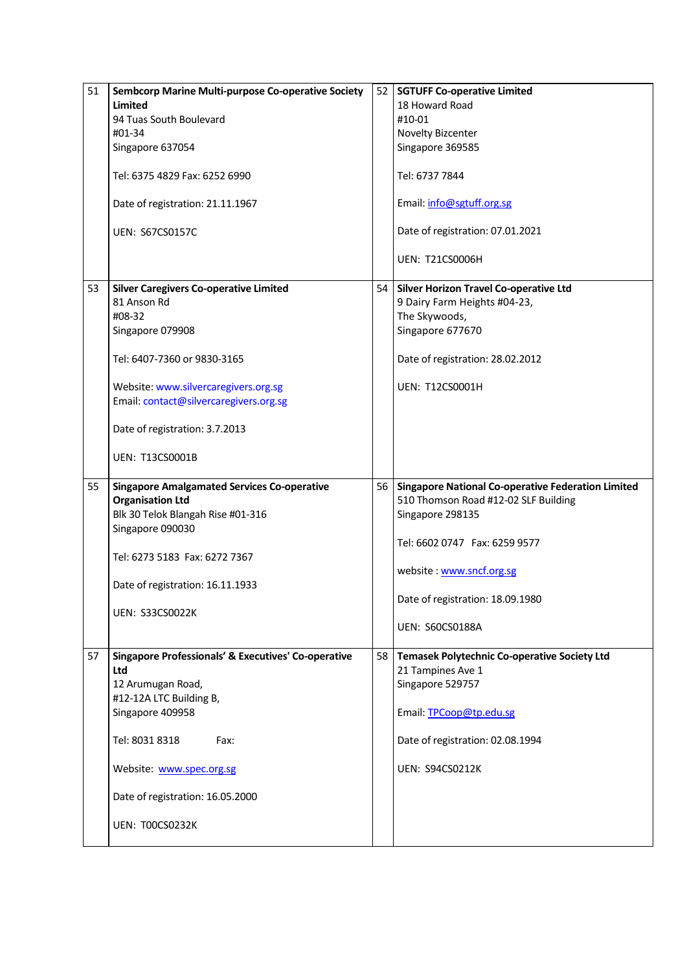| 51 | Sembcorp Marine Multi-purpose Co-operative Society                    | 52   | <b>SGTUFF Co-operative Limited</b>                                |
|----|-----------------------------------------------------------------------|------|-------------------------------------------------------------------|
|    | <b>Limited</b>                                                        |      | 18 Howard Road                                                    |
|    | 94 Tuas South Boulevard                                               |      | #10-01                                                            |
|    | #01-34                                                                |      | Novelty Bizcenter                                                 |
|    | Singapore 637054                                                      |      | Singapore 369585                                                  |
|    | Tel: 6375 4829 Fax: 6252 6990                                         |      | Tel: 6737 7844                                                    |
|    | Date of registration: 21.11.1967                                      |      | Email: info@sgtuff.org.sg                                         |
|    | <b>UEN: S67CS0157C</b>                                                |      | Date of registration: 07.01.2021                                  |
|    |                                                                       |      | <b>UEN: T21CS0006H</b>                                            |
| 53 | <b>Silver Caregivers Co-operative Limited</b>                         | 54 l | <b>Silver Horizon Travel Co-operative Ltd</b>                     |
|    | 81 Anson Rd                                                           |      | 9 Dairy Farm Heights #04-23,                                      |
|    | #08-32                                                                |      | The Skywoods,                                                     |
|    | Singapore 079908                                                      |      | Singapore 677670                                                  |
|    | Tel: 6407-7360 or 9830-3165                                           |      | Date of registration: 28.02.2012                                  |
|    | Website: www.silvercaregivers.org.sg                                  |      | <b>UEN: T12CS0001H</b>                                            |
|    | Email: contact@silvercaregivers.org.sg                                |      |                                                                   |
|    |                                                                       |      |                                                                   |
|    | Date of registration: 3.7.2013                                        |      |                                                                   |
|    | <b>UEN: T13CS0001B</b>                                                |      |                                                                   |
|    |                                                                       |      |                                                                   |
| 55 | <b>Singapore Amalgamated Services Co-operative</b>                    | 56   | <b>Singapore National Co-operative Federation Limited</b>         |
|    | <b>Organisation Ltd</b>                                               |      | 510 Thomson Road #12-02 SLF Building                              |
|    | Blk 30 Telok Blangah Rise #01-316                                     |      | Singapore 298135                                                  |
|    | Singapore 090030                                                      |      |                                                                   |
|    |                                                                       |      | Tel: 6602 0747  Fax: 6259 9577                                    |
|    | Tel: 6273 5183 Fax: 6272 7367                                         |      |                                                                   |
|    |                                                                       |      | website: www.sncf.org.sg                                          |
|    | Date of registration: 16.11.1933                                      |      |                                                                   |
|    |                                                                       |      | Date of registration: 18.09.1980                                  |
|    | <b>UEN: S33CS0022K</b>                                                |      |                                                                   |
|    |                                                                       |      | <b>UEN: S60CS0188A</b>                                            |
| 57 | <b>Singapore Professionals' &amp; Executives' Co-operative</b><br>Ltd | 58 I | Temasek Polytechnic Co-operative Society Ltd<br>21 Tampines Ave 1 |
|    | 12 Arumugan Road,                                                     |      | Singapore 529757                                                  |
|    | #12-12A LTC Building B,                                               |      |                                                                   |
|    | Singapore 409958                                                      |      | Email: TPCoop@tp.edu.sg                                           |
|    |                                                                       |      |                                                                   |
|    | Tel: 8031 8318<br>Fax:                                                |      | Date of registration: 02.08.1994                                  |
|    | Website: www.spec.org.sg                                              |      | <b>UEN: S94CS0212K</b>                                            |
|    | Date of registration: 16.05.2000                                      |      |                                                                   |
|    |                                                                       |      |                                                                   |
|    | <b>UEN: T00CS0232K</b>                                                |      |                                                                   |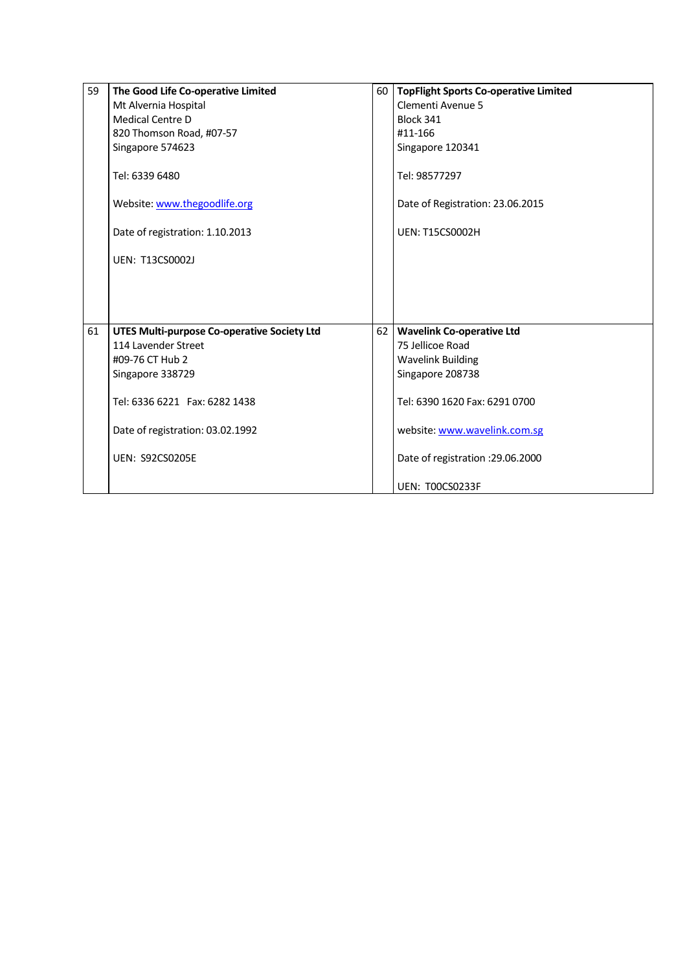| 59 | The Good Life Co-operative Limited                 |                 | 60   TopFlight Sports Co-operative Limited |
|----|----------------------------------------------------|-----------------|--------------------------------------------|
|    | Mt Alvernia Hospital                               |                 | Clementi Avenue 5                          |
|    | <b>Medical Centre D</b>                            |                 | Block 341                                  |
|    | 820 Thomson Road, #07-57                           |                 | #11-166                                    |
|    | Singapore 574623                                   |                 | Singapore 120341                           |
|    | Tel: 6339 6480                                     |                 | Tel: 98577297                              |
|    |                                                    |                 |                                            |
|    | Website: www.thegoodlife.org                       |                 | Date of Registration: 23.06.2015           |
|    | Date of registration: 1.10.2013                    |                 | <b>UEN: T15CS0002H</b>                     |
|    | <b>UEN: T13CS0002J</b>                             |                 |                                            |
|    |                                                    |                 |                                            |
|    |                                                    |                 |                                            |
|    |                                                    |                 |                                            |
| 61 | <b>UTES Multi-purpose Co-operative Society Ltd</b> | 62 <sub>1</sub> | <b>Wavelink Co-operative Ltd</b>           |
|    | 114 Lavender Street                                |                 | 75 Jellicoe Road                           |
|    | #09-76 CT Hub 2                                    |                 | <b>Wavelink Building</b>                   |
|    | Singapore 338729                                   |                 | Singapore 208738                           |
|    |                                                    |                 |                                            |
|    | Tel: 6336 6221  Fax: 6282 1438                     |                 | Tel: 6390 1620 Fax: 6291 0700              |
|    |                                                    |                 |                                            |
|    | Date of registration: 03.02.1992                   |                 | website: www.wavelink.com.sg               |
|    | <b>UEN: S92CS0205E</b>                             |                 | Date of registration : 29.06.2000          |
|    |                                                    |                 |                                            |
|    |                                                    |                 | UEN: T00CS0233F                            |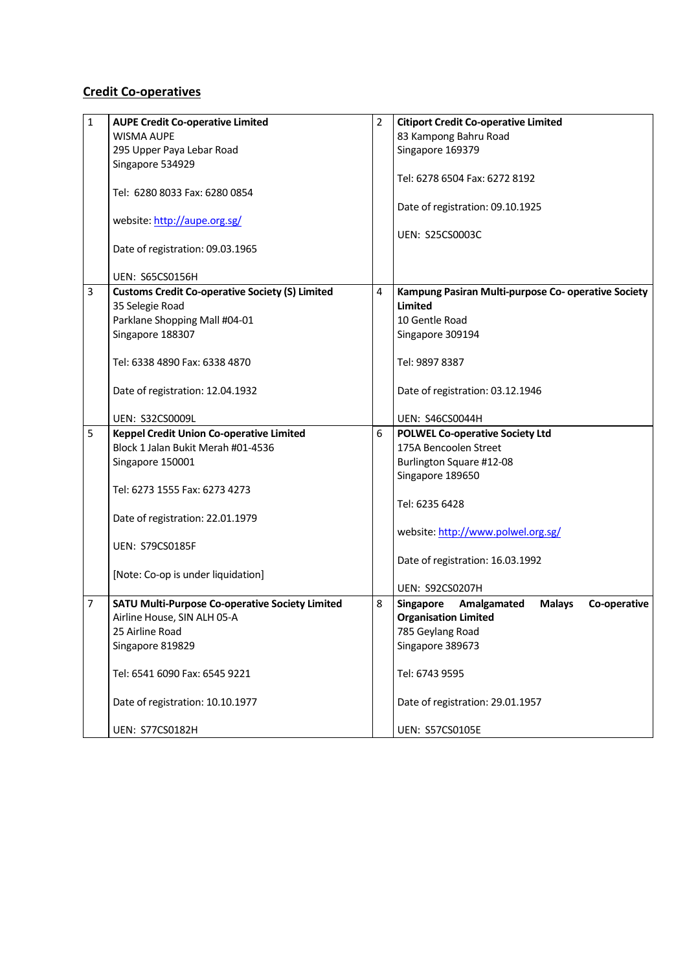## **Credit Co-operatives**

| $\mathbf{1}$ | <b>AUPE Credit Co-operative Limited</b>                | $\overline{2}$ | <b>Citiport Credit Co-operative Limited</b>                      |
|--------------|--------------------------------------------------------|----------------|------------------------------------------------------------------|
|              | <b>WISMA AUPE</b>                                      |                | 83 Kampong Bahru Road                                            |
|              | 295 Upper Paya Lebar Road                              |                | Singapore 169379                                                 |
|              | Singapore 534929                                       |                |                                                                  |
|              |                                                        |                | Tel: 6278 6504 Fax: 6272 8192                                    |
|              | Tel: 6280 8033 Fax: 6280 0854                          |                |                                                                  |
|              |                                                        |                | Date of registration: 09.10.1925                                 |
|              | website: http://aupe.org.sg/                           |                |                                                                  |
|              |                                                        |                | <b>UEN: S25CS0003C</b>                                           |
|              | Date of registration: 09.03.1965                       |                |                                                                  |
|              |                                                        |                |                                                                  |
|              | <b>UEN: S65CS0156H</b>                                 |                |                                                                  |
| 3            | <b>Customs Credit Co-operative Society (S) Limited</b> | 4              | Kampung Pasiran Multi-purpose Co- operative Society              |
|              | 35 Selegie Road                                        |                | Limited                                                          |
|              | Parklane Shopping Mall #04-01                          |                | 10 Gentle Road                                                   |
|              | Singapore 188307                                       |                | Singapore 309194                                                 |
|              |                                                        |                |                                                                  |
|              | Tel: 6338 4890 Fax: 6338 4870                          |                | Tel: 9897 8387                                                   |
|              |                                                        |                |                                                                  |
|              | Date of registration: 12.04.1932                       |                | Date of registration: 03.12.1946                                 |
|              |                                                        |                |                                                                  |
|              | <b>UEN: S32CS0009L</b>                                 |                | <b>UEN: S46CS0044H</b>                                           |
| 5            | <b>Keppel Credit Union Co-operative Limited</b>        | 6              | <b>POLWEL Co-operative Society Ltd</b>                           |
|              | Block 1 Jalan Bukit Merah #01-4536                     |                | 175A Bencoolen Street                                            |
|              | Singapore 150001                                       |                | Burlington Square #12-08                                         |
|              | Tel: 6273 1555 Fax: 6273 4273                          |                | Singapore 189650                                                 |
|              |                                                        |                | Tel: 6235 6428                                                   |
|              | Date of registration: 22.01.1979                       |                |                                                                  |
|              |                                                        |                | website: http://www.polwel.org.sg/                               |
|              | <b>UEN: S79CS0185F</b>                                 |                |                                                                  |
|              |                                                        |                | Date of registration: 16.03.1992                                 |
|              | [Note: Co-op is under liquidation]                     |                |                                                                  |
|              |                                                        |                | <b>UEN: S92CS0207H</b>                                           |
| 7            | SATU Multi-Purpose Co-operative Society Limited        | 8              | Amalgamated<br><b>Singapore</b><br><b>Malays</b><br>Co-operative |
|              | Airline House, SIN ALH 05-A                            |                | <b>Organisation Limited</b>                                      |
|              | 25 Airline Road                                        |                | 785 Geylang Road                                                 |
|              | Singapore 819829                                       |                | Singapore 389673                                                 |
|              |                                                        |                |                                                                  |
|              | Tel: 6541 6090 Fax: 6545 9221                          |                | Tel: 6743 9595                                                   |
|              |                                                        |                |                                                                  |
|              | Date of registration: 10.10.1977                       |                | Date of registration: 29.01.1957                                 |
|              |                                                        |                |                                                                  |
|              | <b>UEN: S77CS0182H</b>                                 |                | <b>UEN: S57CS0105E</b>                                           |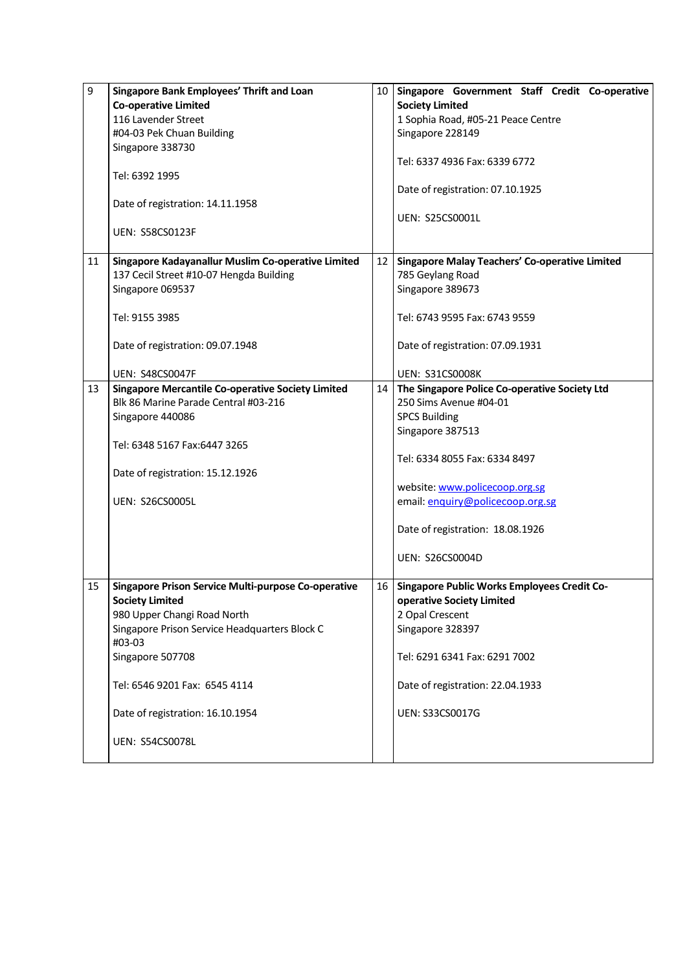| 9  | Singapore Bank Employees' Thrift and Loan                | 10 | Singapore Government Staff Credit Co-operative        |
|----|----------------------------------------------------------|----|-------------------------------------------------------|
|    | <b>Co-operative Limited</b>                              |    | <b>Society Limited</b>                                |
|    | 116 Lavender Street                                      |    | 1 Sophia Road, #05-21 Peace Centre                    |
|    | #04-03 Pek Chuan Building                                |    | Singapore 228149                                      |
|    | Singapore 338730                                         |    |                                                       |
|    |                                                          |    | Tel: 6337 4936 Fax: 6339 6772                         |
|    | Tel: 6392 1995                                           |    |                                                       |
|    |                                                          |    | Date of registration: 07.10.1925                      |
|    | Date of registration: 14.11.1958                         |    |                                                       |
|    |                                                          |    | <b>UEN: S25CS0001L</b>                                |
|    | <b>UEN: S58CS0123F</b>                                   |    |                                                       |
|    |                                                          |    |                                                       |
| 11 | Singapore Kadayanallur Muslim Co-operative Limited       | 12 | <b>Singapore Malay Teachers' Co-operative Limited</b> |
|    | 137 Cecil Street #10-07 Hengda Building                  |    | 785 Geylang Road                                      |
|    | Singapore 069537                                         |    | Singapore 389673                                      |
|    |                                                          |    |                                                       |
|    | Tel: 9155 3985                                           |    | Tel: 6743 9595 Fax: 6743 9559                         |
|    |                                                          |    |                                                       |
|    |                                                          |    |                                                       |
|    | Date of registration: 09.07.1948                         |    | Date of registration: 07.09.1931                      |
|    |                                                          |    |                                                       |
|    | <b>UEN: S48CS0047F</b>                                   |    | <b>UEN: S31CS0008K</b>                                |
| 13 | <b>Singapore Mercantile Co-operative Society Limited</b> | 14 | The Singapore Police Co-operative Society Ltd         |
|    | Blk 86 Marine Parade Central #03-216                     |    | 250 Sims Avenue #04-01                                |
|    | Singapore 440086                                         |    | <b>SPCS Building</b>                                  |
|    |                                                          |    | Singapore 387513                                      |
|    | Tel: 6348 5167 Fax:6447 3265                             |    |                                                       |
|    |                                                          |    | Tel: 6334 8055 Fax: 6334 8497                         |
|    | Date of registration: 15.12.1926                         |    |                                                       |
|    |                                                          |    | website: www.policecoop.org.sg                        |
|    | <b>UEN: S26CS0005L</b>                                   |    | email: enquiry@policecoop.org.sg                      |
|    |                                                          |    |                                                       |
|    |                                                          |    | Date of registration: 18.08.1926                      |
|    |                                                          |    |                                                       |
|    |                                                          |    | <b>UEN: S26CS0004D</b>                                |
|    |                                                          |    |                                                       |
| 15 | Singapore Prison Service Multi-purpose Co-operative      | 16 | <b>Singapore Public Works Employees Credit Co-</b>    |
|    | <b>Society Limited</b>                                   |    | operative Society Limited                             |
|    | 980 Upper Changi Road North                              |    | 2 Opal Crescent                                       |
|    | Singapore Prison Service Headquarters Block C            |    | Singapore 328397                                      |
|    | #03-03                                                   |    |                                                       |
|    | Singapore 507708                                         |    | Tel: 6291 6341 Fax: 6291 7002                         |
|    |                                                          |    |                                                       |
|    | Tel: 6546 9201 Fax: 6545 4114                            |    | Date of registration: 22.04.1933                      |
|    |                                                          |    |                                                       |
|    | Date of registration: 16.10.1954                         |    | UEN: S33CS0017G                                       |
|    |                                                          |    |                                                       |
|    | <b>UEN: S54CS0078L</b>                                   |    |                                                       |
|    |                                                          |    |                                                       |